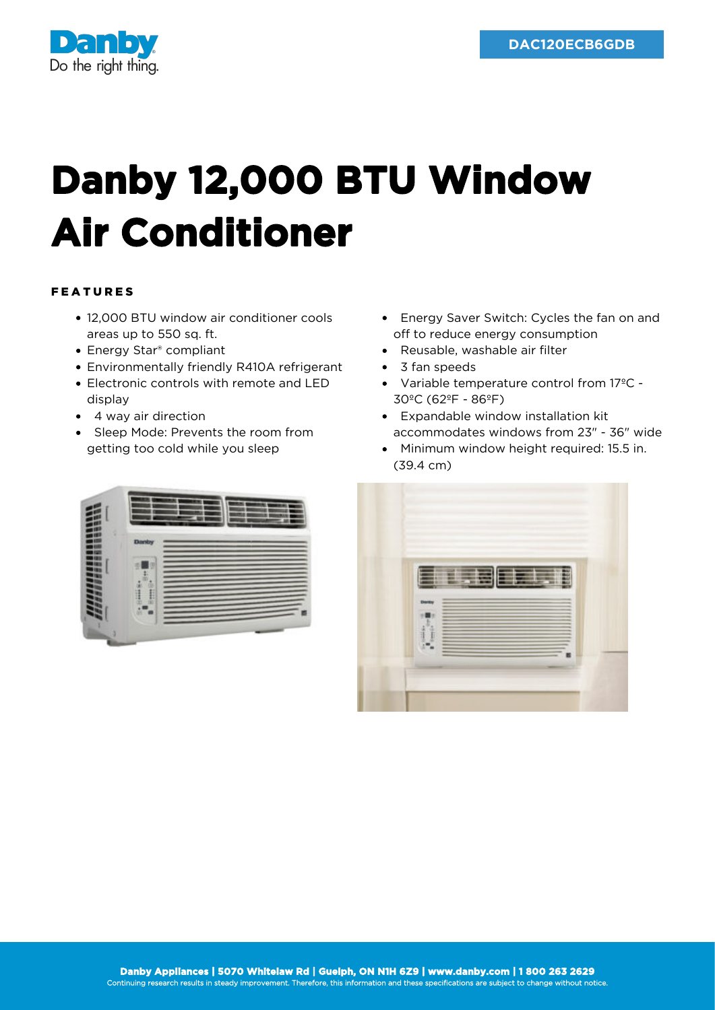

## **Danby 12,000 BTU Window Air Conditioner**

## FEATURES

- 12,000 BTU window air conditioner cools areas up to 550 sq. ft.
- Energy Star<sup>®</sup> compliant
- Environmentally friendly R410A refrigerant
- Electronic controls with remote and LED display
- 4 way air direction
- Sleep Mode: Prevents the room from getting too cold while you sleep



- Energy Saver Switch: Cycles the fan on and off to reduce energy consumption
- Reusable, washable air filter
- 3 fan speeds
- Variable temperature control from 17ºC 30ºC (62ºF - 86ºF)
- Expandable window installation kit accommodates windows from 23" - 36" wide
- Minimum window height required: 15.5 in. (39.4 cm)